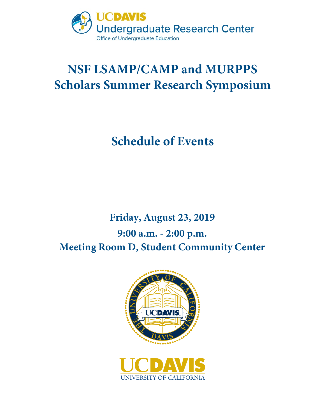

# **NSF LSAMP/CAMP and MURPPS Scholars Summer Research Symposium**

### **Schedule of Events**

### **Friday, August 23, 2019 9:00 a.m. - 2:00 p.m. Meeting Room D, Student Community Center**

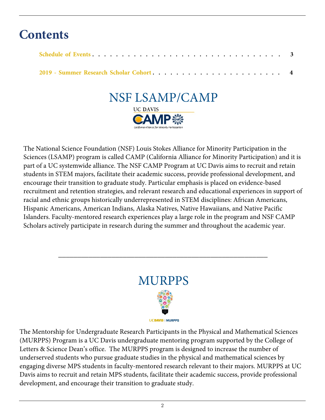### **Contents**

### NSF LSAMP/CAMP **UC DAVIS** CAMP戀

The National Science Foundation (NSF) Louis Stokes Alliance for Minority Participation in the Sciences (LSAMP) program is called CAMP (California Alliance for Minority Participation) and it is part of a UC systemwide alliance. The NSF CAMP Program at UC Davis aims to recruit and retain students in STEM majors, facilitate their academic success, provide professional development, and encourage their transition to graduate study. Particular emphasis is placed on evidence-based recruitment and retention strategies, and relevant research and educational experiences in support of racial and ethnic groups historically underrepresented in STEM disciplines: African Americans, Hispanic Americans, American Indians, Alaska Natives, Native Hawaiians, and Native Pacific Islanders. Faculty-mentored research experiences play a large role in the program and NSF CAMP Scholars actively participate in research during the summer and throughout the academic year.



\_\_\_\_\_\_\_\_\_\_\_\_\_\_\_\_\_\_\_\_\_\_\_\_\_\_\_\_\_\_\_\_\_\_\_\_\_\_\_\_\_\_\_\_\_\_\_\_\_\_\_\_\_\_\_

The Mentorship for Undergraduate Research Participants in the Physical and Mathematical Sciences (MURPPS) Program is a UC Davis undergraduate mentoring program supported by the College of Letters & Science Dean's office. The MURPPS program is designed to increase the number of underserved students who pursue graduate studies in the physical and mathematical sciences by engaging diverse MPS students in faculty-mentored research relevant to their majors. MURPPS at UC Davis aims to recruit and retain MPS students, facilitate their academic success, provide professional development, and encourage their transition to graduate study.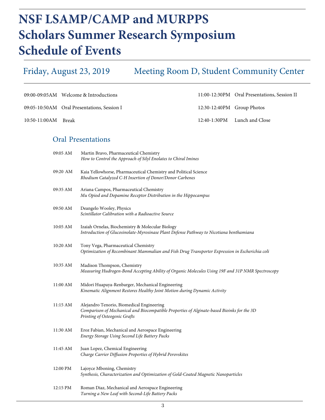## **NSF LSAMP/CAMP and MURPPS Scholars Summer Research Symposium Schedule of Events**

Meeting Room D, Student Community Center Friday, August 23, 2019

|                     |          | 09:00-09:05AM Welcome & Introductions                                                                    |                            | 11:00-12:30PM Oral Presentations, Session II |
|---------------------|----------|----------------------------------------------------------------------------------------------------------|----------------------------|----------------------------------------------|
|                     |          | 09:05-10:50AM Oral Presentations, Session I                                                              | 12:30-12:40PM Group Photos |                                              |
| 10:50-11:00AM Break |          |                                                                                                          | 12:40-1:30PM               | Lunch and Close                              |
|                     |          | <b>Oral Presentations</b>                                                                                |                            |                                              |
|                     | 09:05 AM | Martin Bravo, Pharmaceutical Chemistry<br>How to Control the Approach of Silyl Enolates to Chiral Imines |                            |                                              |

| 09:20 AM   | Kaia Yellowhorse, Pharmaceutical Chemistry and Political Science<br>Rhodium Catalyzed C-H Insertion of Donor/Donor Carbenes                 |
|------------|---------------------------------------------------------------------------------------------------------------------------------------------|
| 09:35 AM   | Ariana Campos, Pharmaceutical Chemistry<br>Mu Opiod and Dopamine Receptor Distribution in the Hippocampus                                   |
| 09:50 AM   | Deangelo Wooley, Physics<br>Scintillator Calibration with a Radioactive Source                                                              |
| $10:05$ AM | Izaiah Ornelas, Biochemistry & Molecular Biology<br>Introduction of Glucosinolate-Myrosinase Plant Defense Pathway to Nicotiana benthamiana |
| 10:20 AM   | Tony Vega, Pharmaceutical Chemistry<br>Optimization of Recombinant Mammalian and Fish Drug Transporter Expression in Escherichia coli       |

- 10:35 AM Madison Thompson, Chemistry *Measuring Hudrogen-Bond Accepting Ability of Organic Molecules Using 19F and 31P NMR Spectroscopy*
- 11:00 AM Midori Huapaya-Renbarger, Mechanical Engineering *Kinematic Alignment Restores Healthy Joint Motion during Dynamic Activity*
- 11:15 AM Alejandro Tenorio, Biomedical Engineering *Comparison of Mechanical and Biocompatible Properties of Alginate-based Bioinks for the 3D Printing of Osteogenic Grafts*
- 11:30 AM Eroz Fabian, Mechanical and Aerospace Engineering *Energy Storage Using Second Life Battery Packs*
- 11:45 AM Juan Lopez, Chemical Engineering *Charge Carrier Diffusion Properties of Hybrid Perovskites*
- 12:00 PM Lajoyce Mboning, Chemistry *Synthesis, Characterization and Optimization of Gold-Coated Magnetic Nanoparticles*
- 12:15 PM Roman Diaz, Mechanical and Aerospace Engineering *Turning a New Leaf with Second-Life Battery Packs*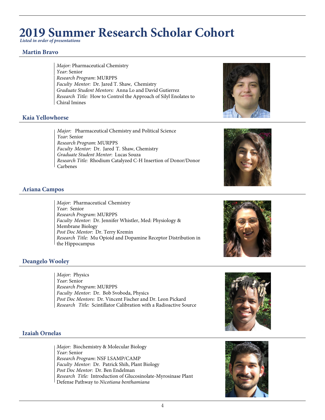### **2019 Summer Research Scholar Cohort**

*Listed in order of presentations* 

#### **Martin Bravo**

*Major:* Pharmaceutical Chemistry *Year*: Senior *Research Program*: MURPPS *Faculty Mentor:* Dr. Jared T. Shaw, Chemistry *Graduate Student Mentors:* Anna Lo and David Gutierrez *Research Title:* How to Control the Approach of Silyl Enolates to Chiral Imines

#### **Kaia Yellowhorse**

*Major:* Pharmaceutical Chemistry and Political Science *Year*: Senior *Research Program*: MURPPS *Faculty Mentor:* Dr. Jared T. Shaw, Chemistry *Graduate Student Mentor*: Lucas Souza *Research Title:* Rhodium Catalyzed C-H Insertion of Donor/Donor Carbenes





#### **Ariana Campos**

*Major:* Pharmaceutical Chemistry *Year*: Senior *Research Program*: MURPPS *Faculty Mentor:* Dr. Jennifer Whistler, Med: Physiology & Membrane Biology *Post Doc Mentor*: Dr. Terry Kremin *Research Title:* Mu Opioid and Dopamine Receptor Distribution in the Hippocampus



#### **Deangelo Wooley**

*Major:* Physics *Year*: Senior *Research Program*: MURPPS *Faculty Mentor:* Dr. Bob Svoboda, Physics *Post Doc Mentors*: Dr. Vincent Fischer and Dr. Leon Pickard *Research Title:* Scintillator Calibration with a Radioactive Source



#### **Izaiah Ornelas**

*Major:* Biochemistry & Molecular Biology *Year*: Senior *Research Program*: NSF LSAMP/CAMP *Faculty Mentor:* Dr. Patrick Shih, Plant Biology *Post Doc Mentor*: Dr. Ben Endelman *Research Title:* Introduction of Glucosinolate-Myrosinase Plant Defense Pathway to *Nicotiana benthamiana* 

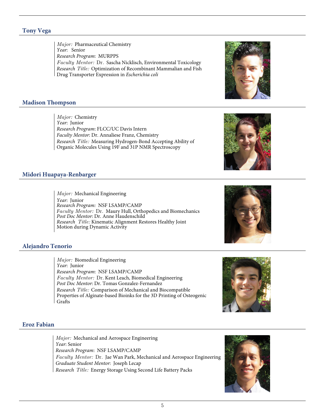#### **Tony Vega**

*Major:* Pharmaceutical Chemistry *Year*: Senior *Research Program*: MURPPS *Faculty Mentor:* Dr. Sascha Nicklisch, Environmental Toxicology *Research Title:* Optimization of Recombinant Mammalian and Fish Drug Transporter Expression in *Escherichia coli*

#### **Madison Thompson**

*Major:* Chemistry *Year*: Junior *Research Program*: FLCC/UC Davis Intern *Faculty Mentor*: Dr. Annaliese Franz, Chemistry *Research Title:* Measuring Hydrogen-Bond Accepting Ability of Organic Molecules Using 19F and 31P NMR Spectroscopy

#### **Midori Huapaya-Renbarger**

*Major:* Mechanical Engineering *Year*: Junior *Research Program:* NSF LSAMP/CAMP *Faculty Mentor:* Dr. Maury Hull, Orthopedics and Biomechanics *Post Doc Mentor*: Dr. Anne Haudenschild *Research Title:* Kinematic Alignment Restores Healthy Joint Motion during Dynamic Activity

#### **Alejandro Tenorio**

*Major:* Biomedical Engineering *Year*: Junior *Research Program*: NSF LSAMP/CAMP *Faculty Mentor:* Dr. Kent Leach, Biomedical Engineering *Post Doc Mentor*: Dr. Tomas Gonzalez-Fernandez *Research Title:* Comparison of Mechanical and Biocompatible Properties of Alginate-based Bioinks for the 3D Printing of Osteogenic Grafts

#### **Eroz Fabian**

*Major:* Mechanical and Aerospace Engineering *Year*: Senior *Research Program*: NSF LSAMP/CAMP *Faculty Mentor:* Dr. Jae Wan Park, Mechanical and Aerospace Engineering *Graduate Student Mentor*: Joseph Lecap *Research Title:* Energy Storage Using Second Life Battery Packs